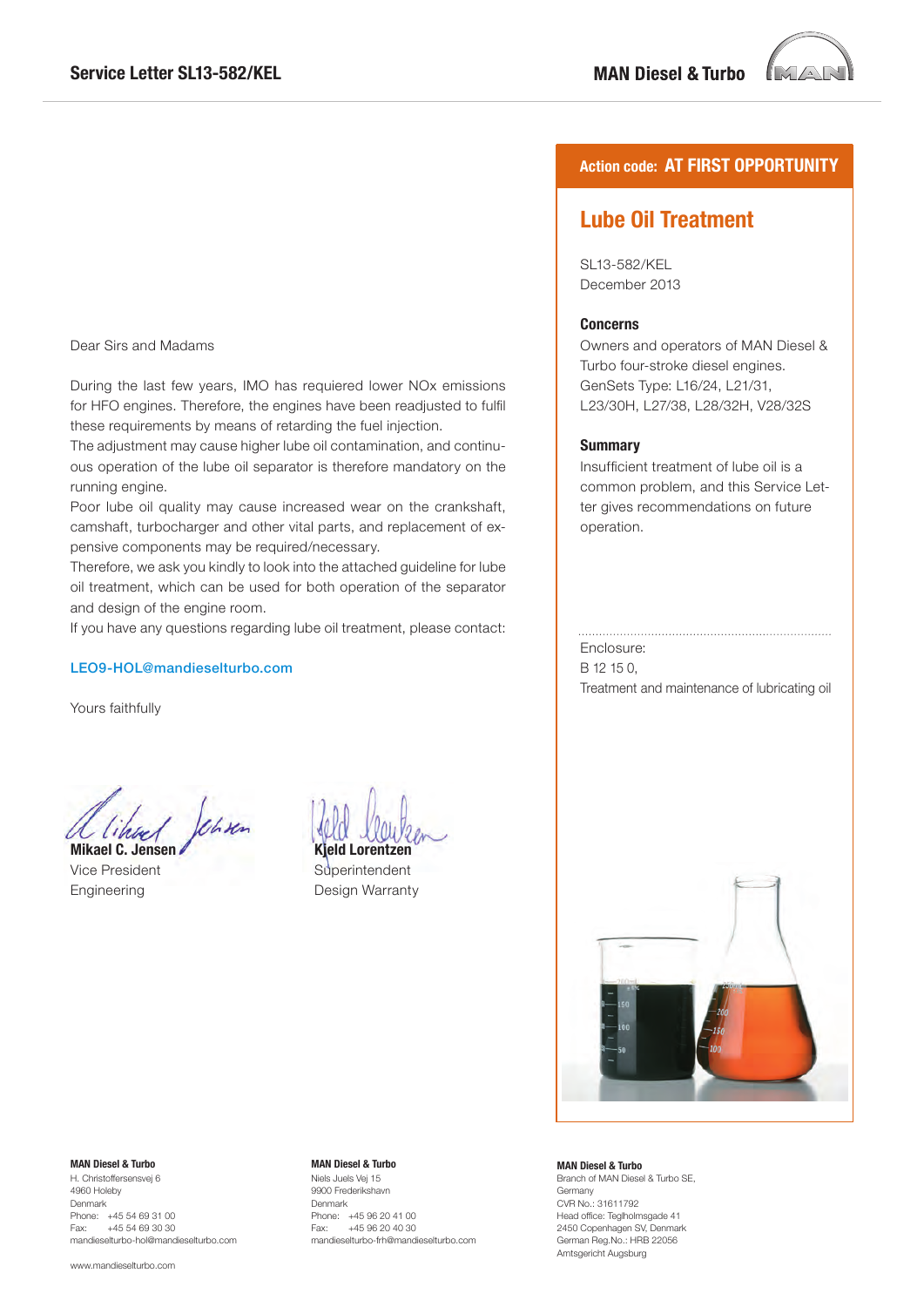

### Dear Sirs and Madams

During the last few years, IMO has requiered lower NOx emissions for HFO engines. Therefore, the engines have been readjusted to fulfil these requirements by means of retarding the fuel injection.

The adjustment may cause higher lube oil contamination, and continuous operation of the lube oil separator is therefore mandatory on the running engine.

Poor lube oil quality may cause increased wear on the crankshaft, camshaft, turbocharger and other vital parts, and replacement of expensive components may be required/necessary.

Therefore, we ask you kindly to look into the attached guideline for lube oil treatment, which can be used for both operation of the separator and design of the engine room.

If you have any questions regarding lube oil treatment, please contact:

### LEO9-HOL@mandieselturbo.com

Yours faithfully

John

**Mikael C. Jensen**  Vice President Engineering

**Kjeld Lorentzen**

**Superintendent** Design Warranty

### **Action code: AT FIRST OPPORTUNITY**

# **Lube Oil Treatment**

SL13-582/KEL December 2013

### **Concerns**

Owners and operators of MAN Diesel & Turbo four-stroke diesel engines. GenSets Type: L16/24, L21/31, L23/30H, L27/38, L28/32H, V28/32S

#### **Summary**

Insufficient treatment of lube oil is a common problem, and this Service Letter gives recommendations on future operation.

#### Enclosure:

B 12 15 0, Treatment and maintenance of lubricating oil



#### **MAN Diesel & Turbo**

H. Christoffersensvej 6 4960 Holeby Denmark Phone: +45 54 69 31 00<br>Fax: +45 54 69 30 30  $+45,5469,3030$ mandieselturbo-hol@mandieselturbo.com

www.mandieselturbo.com

#### **MAN Diesel & Turbo**

Niels Juels Vej 15 9900 Frederikshavn Denmark Phone: +45 96 20 41 00<br>Fax: +45 96 20 40 30 +45 96 20 40 30 mandieselturbo-frh@mandieselturbo.com

#### **MAN Diesel & Turbo**

Branch of MAN Diesel & Turbo SE, Germany CVR No.: 31611792 Head office: Teglholmsgade 41 2450 Copenhagen SV, Denmark German Reg.No.: HRB 22056 Amtsgericht Augsburg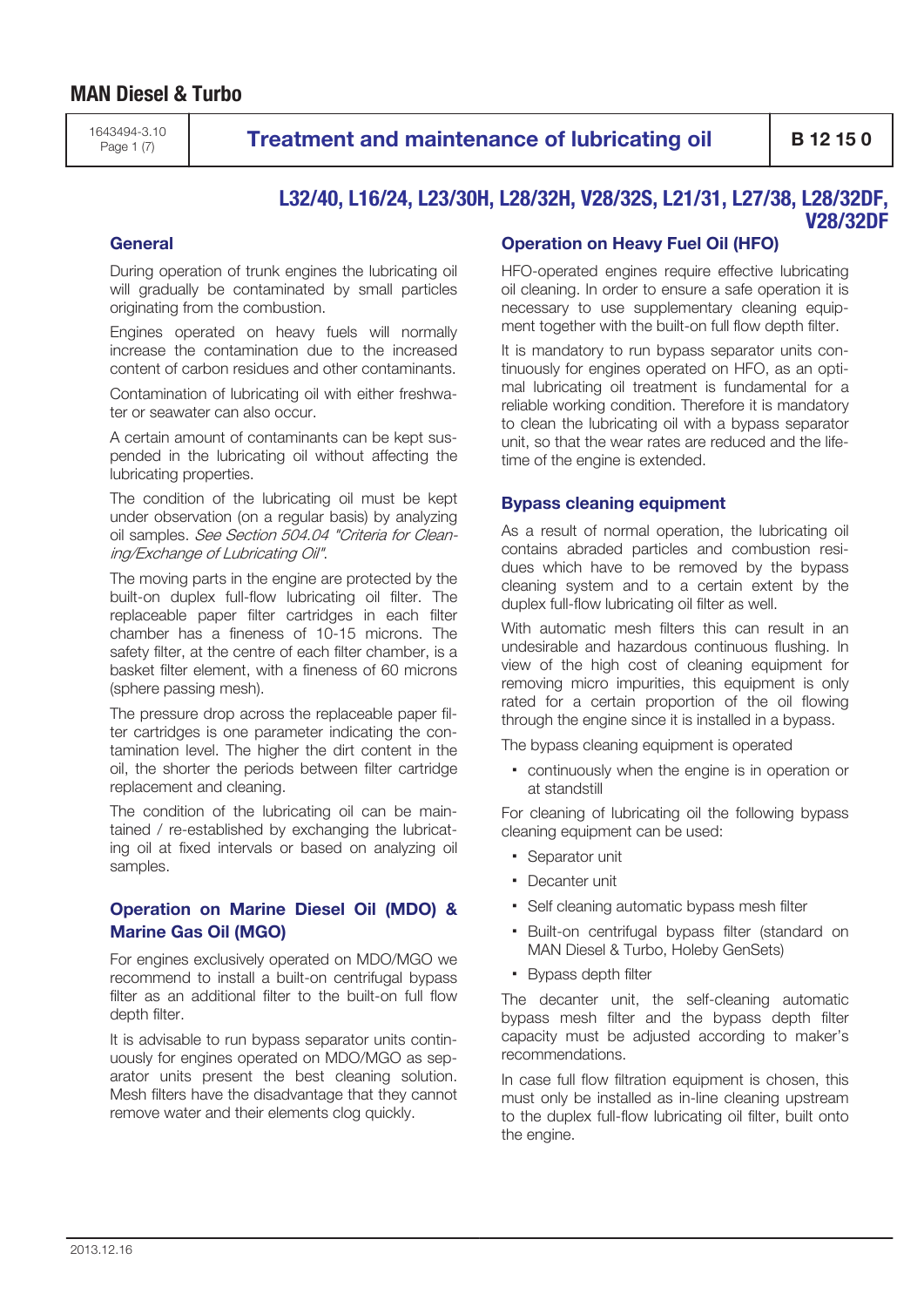1643494-3.10

# **Page 1 (7) Treatment and maintenance of lubricating oil**  $\parallel$  **B 12 15 0**

### **L32/40, L16/24, L23/30H, L28/32H, V28/32S, L21/31, L27/38, L28/32DF, V28/32DF**

### **General**

During operation of trunk engines the lubricating oil will gradually be contaminated by small particles originating from the combustion.

Engines operated on heavy fuels will normally increase the contamination due to the increased content of carbon residues and other contaminants.

Contamination of lubricating oil with either freshwater or seawater can also occur.

A certain amount of contaminants can be kept suspended in the lubricating oil without affecting the lubricating properties.

The condition of the lubricating oil must be kept under observation (on a regular basis) by analyzing oil samples. See Section 504.04 "Criteria for Cleaning/Exchange of Lubricating Oil".

The moving parts in the engine are protected by the built-on duplex full-flow lubricating oil filter. The replaceable paper filter cartridges in each filter chamber has a fineness of 10-15 microns. The safety filter, at the centre of each filter chamber, is a basket filter element, with a fineness of 60 microns (sphere passing mesh).

The pressure drop across the replaceable paper filter cartridges is one parameter indicating the contamination level. The higher the dirt content in the oil, the shorter the periods between filter cartridge replacement and cleaning.

The condition of the lubricating oil can be maintained / re-established by exchanging the lubricating oil at fixed intervals or based on analyzing oil samples.

### **Operation on Marine Diesel Oil (MDO) & Marine Gas Oil (MGO)**

For engines exclusively operated on MDO/MGO we recommend to install a built-on centrifugal bypass filter as an additional filter to the built-on full flow depth filter.

It is advisable to run bypass separator units continuously for engines operated on MDO/MGO as separator units present the best cleaning solution. Mesh filters have the disadvantage that they cannot remove water and their elements clog quickly.

## **Operation on Heavy Fuel Oil (HFO)**

HFO-operated engines require effective lubricating oil cleaning. In order to ensure a safe operation it is necessary to use supplementary cleaning equipment together with the built-on full flow depth filter.

It is mandatory to run bypass separator units continuously for engines operated on HFO, as an optimal lubricating oil treatment is fundamental for a reliable working condition. Therefore it is mandatory to clean the lubricating oil with a bypass separator unit, so that the wear rates are reduced and the lifetime of the engine is extended.

### **Bypass cleaning equipment**

As a result of normal operation, the lubricating oil contains abraded particles and combustion residues which have to be removed by the bypass cleaning system and to a certain extent by the duplex full-flow lubricating oil filter as well.

With automatic mesh filters this can result in an undesirable and hazardous continuous flushing. In view of the high cost of cleaning equipment for removing micro impurities, this equipment is only rated for a certain proportion of the oil flowing through the engine since it is installed in a bypass.

The bypass cleaning equipment is operated

▪ continuously when the engine is in operation or at standstill

For cleaning of lubricating oil the following bypass cleaning equipment can be used:

- Separator unit
- Decanter unit
- Self cleaning automatic bypass mesh filter
- Built-on centrifugal bypass filter (standard on MAN Diesel & Turbo, Holeby GenSets)
- Bypass depth filter

The decanter unit, the self-cleaning automatic bypass mesh filter and the bypass depth filter capacity must be adjusted according to maker's recommendations.

In case full flow filtration equipment is chosen, this must only be installed as in-line cleaning upstream to the duplex full-flow lubricating oil filter, built onto the engine.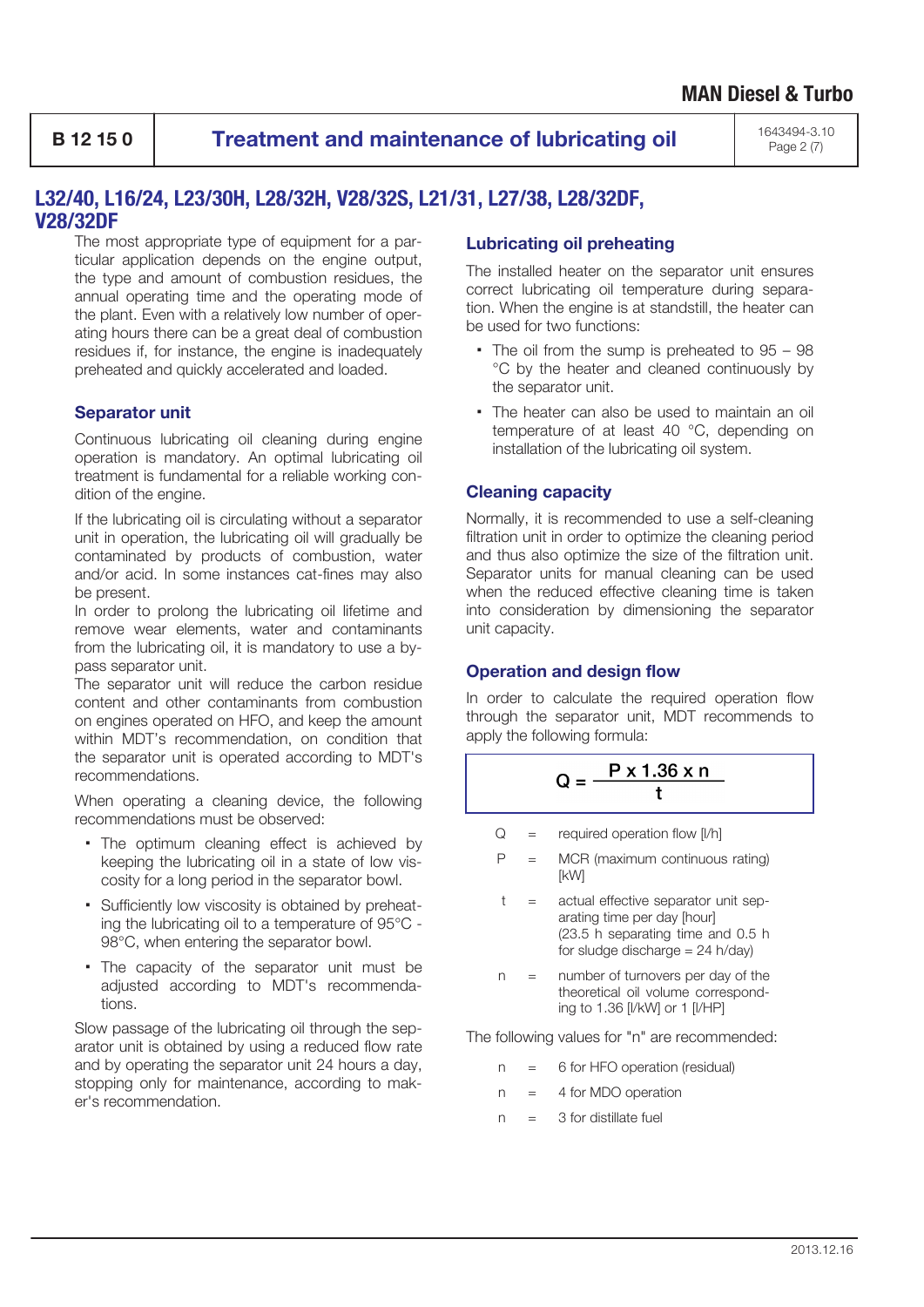**B 12 15 0 Treatment and maintenance of lubricating oil** 1643494-3.10

Page 2 (7)

# **L32/40, L16/24, L23/30H, L28/32H, V28/32S, L21/31, L27/38, L28/32DF, V28/32DF**

The most appropriate type of equipment for a particular application depends on the engine output, the type and amount of combustion residues, the annual operating time and the operating mode of the plant. Even with a relatively low number of operating hours there can be a great deal of combustion residues if, for instance, the engine is inadequately preheated and quickly accelerated and loaded.

## **Separator unit**

Continuous lubricating oil cleaning during engine operation is mandatory. An optimal lubricating oil treatment is fundamental for a reliable working condition of the engine.

If the lubricating oil is circulating without a separator unit in operation, the lubricating oil will gradually be contaminated by products of combustion, water and/or acid. In some instances cat-fines may also be present.

In order to prolong the lubricating oil lifetime and remove wear elements, water and contaminants from the lubricating oil, it is mandatory to use a bypass separator unit.

The separator unit will reduce the carbon residue content and other contaminants from combustion on engines operated on HFO, and keep the amount within MDT's recommendation, on condition that the separator unit is operated according to MDT's recommendations.

When operating a cleaning device, the following recommendations must be observed:

- The optimum cleaning effect is achieved by keeping the lubricating oil in a state of low viscosity for a long period in the separator bowl.
- Sufficiently low viscosity is obtained by preheating the lubricating oil to a temperature of 95°C - 98°C, when entering the separator bowl.
- The capacity of the separator unit must be adjusted according to MDT's recommendations.

Slow passage of the lubricating oil through the separator unit is obtained by using a reduced flow rate and by operating the separator unit 24 hours a day, stopping only for maintenance, according to maker's recommendation.

## **Lubricating oil preheating**

The installed heater on the separator unit ensures correct lubricating oil temperature during separation. When the engine is at standstill, the heater can be used for two functions:

- The oil from the sump is preheated to 95 98 °C by the heater and cleaned continuously by the separator unit.
- The heater can also be used to maintain an oil temperature of at least 40 °C, depending on installation of the lubricating oil system.

## **Cleaning capacity**

Normally, it is recommended to use a self-cleaning filtration unit in order to optimize the cleaning period and thus also optimize the size of the filtration unit. Separator units for manual cleaning can be used when the reduced effective cleaning time is taken into consideration by dimensioning the separator unit capacity.

### **Operation and design flow**

In order to calculate the required operation flow through the separator unit, MDT recommends to apply the following formula:

$$
Q = \frac{P \times 1.36 \times n}{t}
$$

- $Q =$  required operation flow [I/h]
- $P = MCR$  (maximum continuous rating) [kW]
- t = actual effective separator unit separating time per day [hour] (23.5 h separating time and 0.5 h for sludge discharge  $= 24$  h/day)
- n = number of turnovers per day of the theoretical oil volume corresponding to 1.36 [l/kW] or 1 [l/HP]

The following values for "n" are recommended:

- n = 6 for HFO operation (residual)
- n = 4 for MDO operation
- $n = 3$  for distillate fuel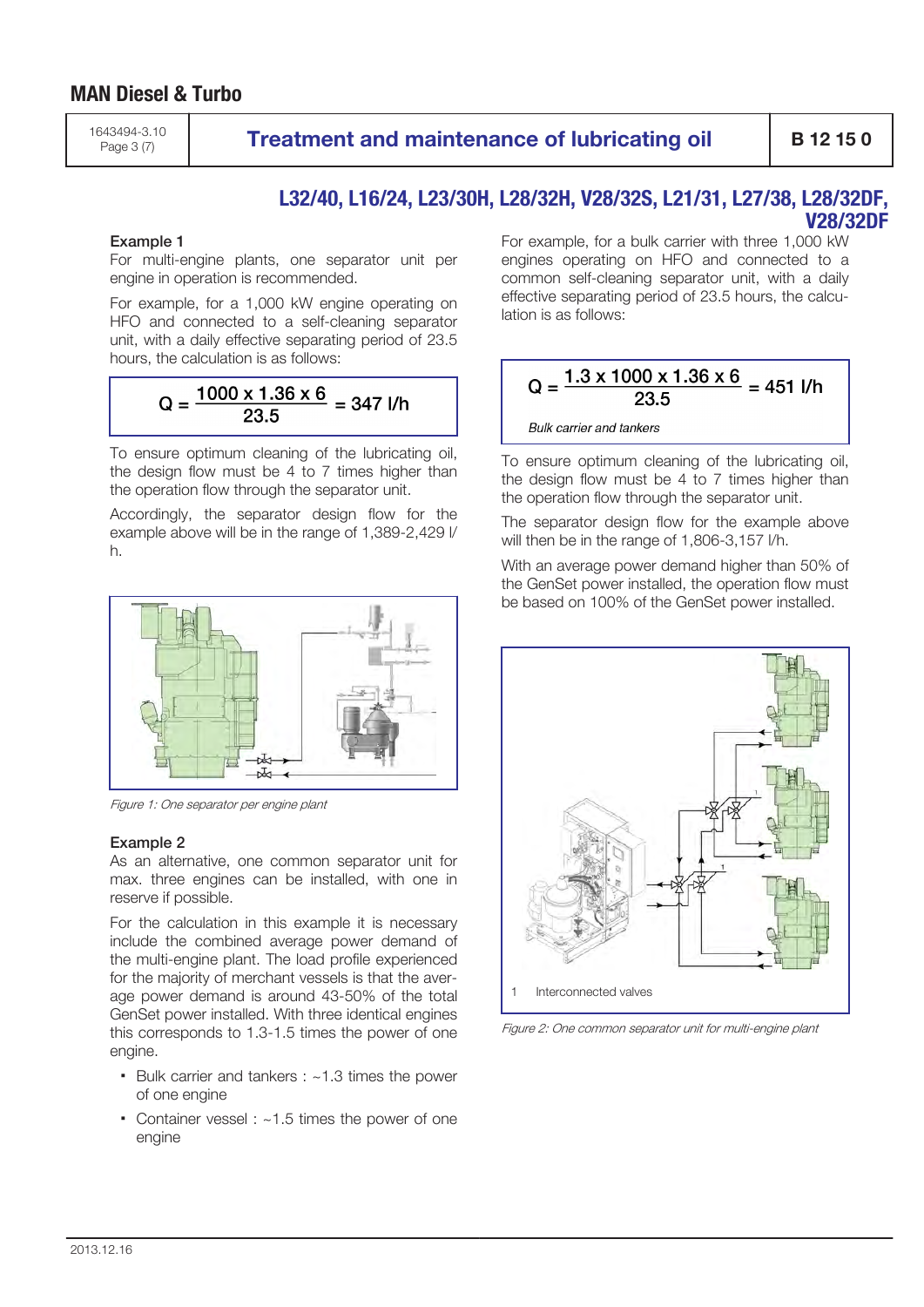# **MAN Diesel & Turbo**

1643494-3.10

Page 3 (7) **Treatment and maintenance of lubricating oil B 12 15 0** 

### **L32/40, L16/24, L23/30H, L28/32H, V28/32S, L21/31, L27/38, L28/32DF, V28/32DF**

### Example 1

For multi-engine plants, one separator unit per engine in operation is recommended.

For example, for a 1,000 kW engine operating on HFO and connected to a self-cleaning separator unit, with a daily effective separating period of 23.5 hours, the calculation is as follows:

$$
Q = \frac{1000 \times 1.36 \times 6}{23.5} = 347
$$
 J/h

To ensure optimum cleaning of the lubricating oil, the design flow must be 4 to 7 times higher than the operation flow through the separator unit.

Accordingly, the separator design flow for the example above will be in the range of 1,389-2,429 l/ h.



Figure 1: One separator per engine plant

### Example 2

As an alternative, one common separator unit for max. three engines can be installed, with one in reserve if possible.

For the calculation in this example it is necessary include the combined average power demand of the multi-engine plant. The load profile experienced for the majority of merchant vessels is that the average power demand is around 43-50% of the total GenSet power installed. With three identical engines this corresponds to 1.3-1.5 times the power of one engine.

- Bulk carrier and tankers : ~1.3 times the power of one engine
- Container vessel : ~1.5 times the power of one engine

For example, for a bulk carrier with three 1,000 kW engines operating on HFO and connected to a common self-cleaning separator unit, with a daily effective separating period of 23.5 hours, the calculation is as follows:

$$
Q = \frac{1.3 \times 1000 \times 1.36 \times 6}{23.5} = 451
$$

**Bulk carrier and tankers** 

To ensure optimum cleaning of the lubricating oil, the design flow must be 4 to 7 times higher than the operation flow through the separator unit.

The separator design flow for the example above will then be in the range of 1,806-3,157 l/h.

With an average power demand higher than 50% of the GenSet power installed, the operation flow must be based on 100% of the GenSet power installed.



Figure 2: One common separator unit for multi-engine plant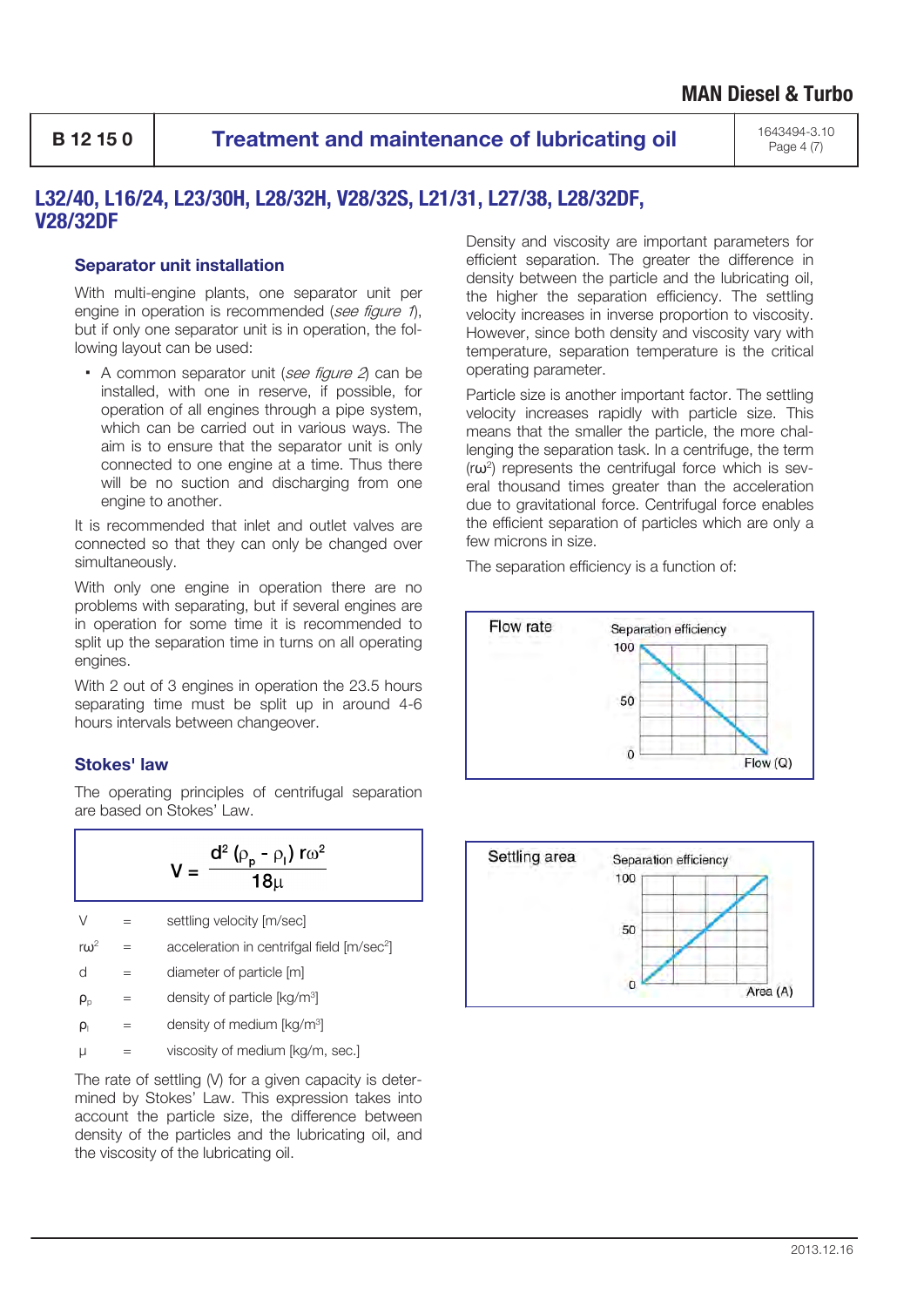**B 12 15 0 Treatment and maintenance of lubricating oil** 1643494-3.10

Page 4 (7)

# **L32/40, L16/24, L23/30H, L28/32H, V28/32S, L21/31, L27/38, L28/32DF, V28/32DF**

### **Separator unit installation**

With multi-engine plants, one separator unit per engine in operation is recommended (see figure 1), but if only one separator unit is in operation, the following layout can be used:

 $\bullet$  A common separator unit (see figure  $2$ ) can be installed, with one in reserve, if possible, for operation of all engines through a pipe system, which can be carried out in various ways. The aim is to ensure that the separator unit is only connected to one engine at a time. Thus there will be no suction and discharging from one engine to another.

It is recommended that inlet and outlet valves are connected so that they can only be changed over simultaneously.

With only one engine in operation there are no problems with separating, but if several engines are in operation for some time it is recommended to split up the separation time in turns on all operating engines.

With 2 out of 3 engines in operation the 23.5 hours separating time must be split up in around 4-6 hours intervals between changeover.

### **Stokes' law**

The operating principles of centrifugal separation are based on Stokes' Law.

$$
V = \frac{d^2 (\rho_p - \rho_l) r \omega^2}{18\mu}
$$

- $V =$  settling velocity  $[m/sec]$
- $r\omega^2$  = acceleration in centrifgal field [m/sec<sup>2</sup>]

 $d =$  diameter of particle  $[m]$ 

 $\rho_{\rm p}$  = density of particle [kg/m<sup>3</sup>]

 $\rho_{\parallel}$  = density of medium [kg/m<sup>3</sup>]

 $\mu$  = viscosity of medium  $\alpha/m$ , sec.

The rate of settling (V) for a given capacity is determined by Stokes' Law. This expression takes into account the particle size, the difference between density of the particles and the lubricating oil, and the viscosity of the lubricating oil.

Density and viscosity are important parameters for efficient separation. The greater the difference in density between the particle and the lubricating oil, the higher the separation efficiency. The settling velocity increases in inverse proportion to viscosity. However, since both density and viscosity vary with temperature, separation temperature is the critical operating parameter.

Particle size is another important factor. The settling velocity increases rapidly with particle size. This means that the smaller the particle, the more challenging the separation task. In a centrifuge, the term (rω<sup>2</sup> ) represents the centrifugal force which is several thousand times greater than the acceleration due to gravitational force. Centrifugal force enables the efficient separation of particles which are only a few microns in size.

The separation efficiency is a function of:



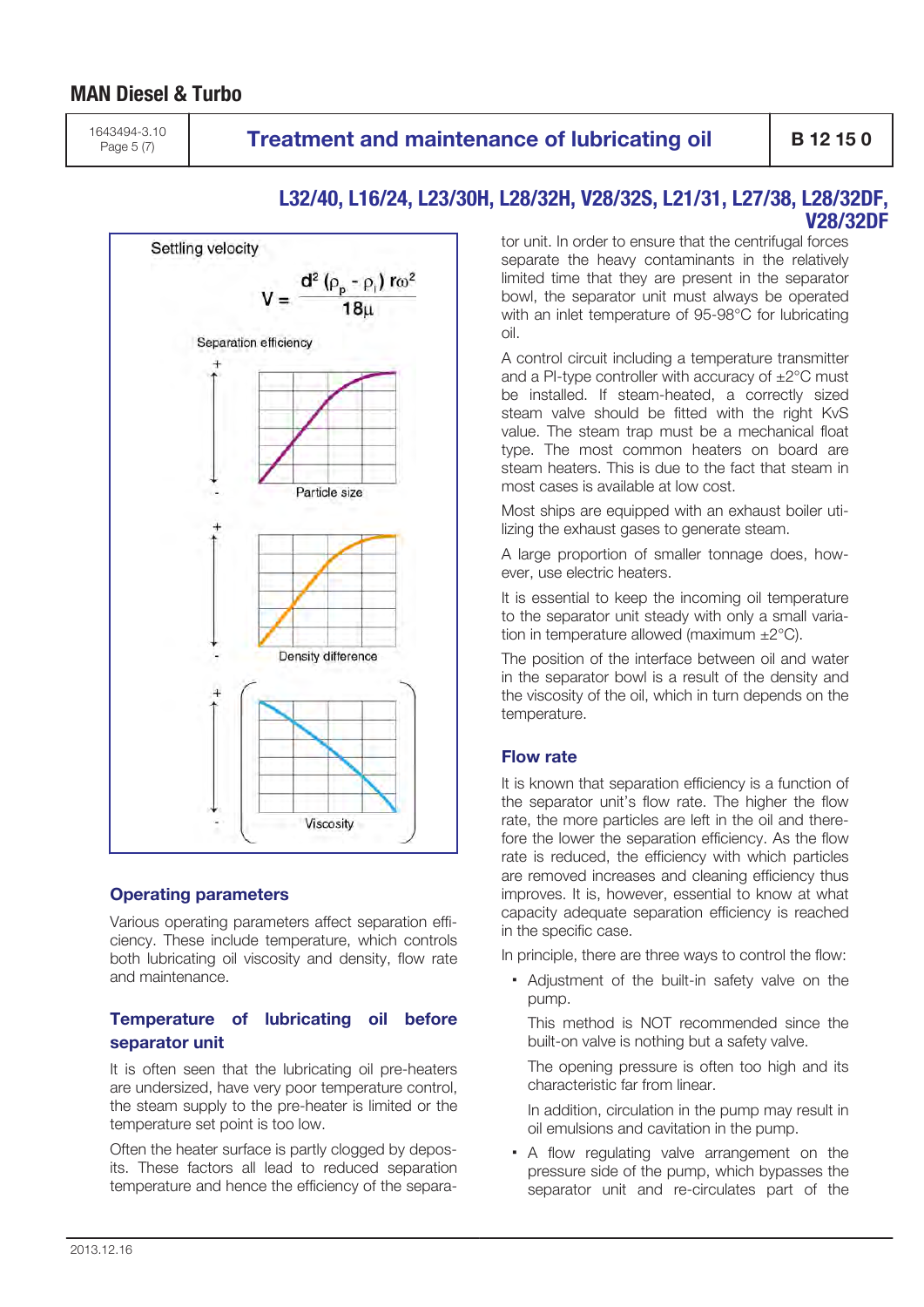# **MAN Diesel & Turbo**

1643494-3.10

# **Page 5 (7) Treatment and maintenance of lubricating oil**  $\left\{\right.$  **B 12 15 0**



### **L32/40, L16/24, L23/30H, L28/32H, V28/32S, L21/31, L27/38, L28/32DF, V28/32DF**

tor unit. In order to ensure that the centrifugal forces separate the heavy contaminants in the relatively limited time that they are present in the separator bowl, the separator unit must always be operated with an inlet temperature of 95-98°C for lubricating oil.

A control circuit including a temperature transmitter and a PI-type controller with accuracy of  $\pm 2^{\circ}$ C must be installed. If steam-heated, a correctly sized steam valve should be fitted with the right KvS value. The steam trap must be a mechanical float type. The most common heaters on board are steam heaters. This is due to the fact that steam in most cases is available at low cost.

Most ships are equipped with an exhaust boiler utilizing the exhaust gases to generate steam.

A large proportion of smaller tonnage does, however, use electric heaters.

It is essential to keep the incoming oil temperature to the separator unit steady with only a small variation in temperature allowed (maximum ±2°C).

The position of the interface between oil and water in the separator bowl is a result of the density and the viscosity of the oil, which in turn depends on the temperature.

### **Flow rate**

It is known that separation efficiency is a function of the separator unit's flow rate. The higher the flow rate, the more particles are left in the oil and therefore the lower the separation efficiency. As the flow rate is reduced, the efficiency with which particles are removed increases and cleaning efficiency thus improves. It is, however, essential to know at what capacity adequate separation efficiency is reached in the specific case.

In principle, there are three ways to control the flow:

▪ Adjustment of the built-in safety valve on the pump.

This method is NOT recommended since the built-on valve is nothing but a safety valve.

The opening pressure is often too high and its characteristic far from linear.

In addition, circulation in the pump may result in oil emulsions and cavitation in the pump.

▪ A flow regulating valve arrangement on the pressure side of the pump, which bypasses the separator unit and re-circulates part of the

## **Operating parameters**

Various operating parameters affect separation efficiency. These include temperature, which controls both lubricating oil viscosity and density, flow rate and maintenance.

## **Temperature of lubricating oil before separator unit**

It is often seen that the lubricating oil pre-heaters are undersized, have very poor temperature control, the steam supply to the pre-heater is limited or the temperature set point is too low.

Often the heater surface is partly clogged by deposits. These factors all lead to reduced separation temperature and hence the efficiency of the separa-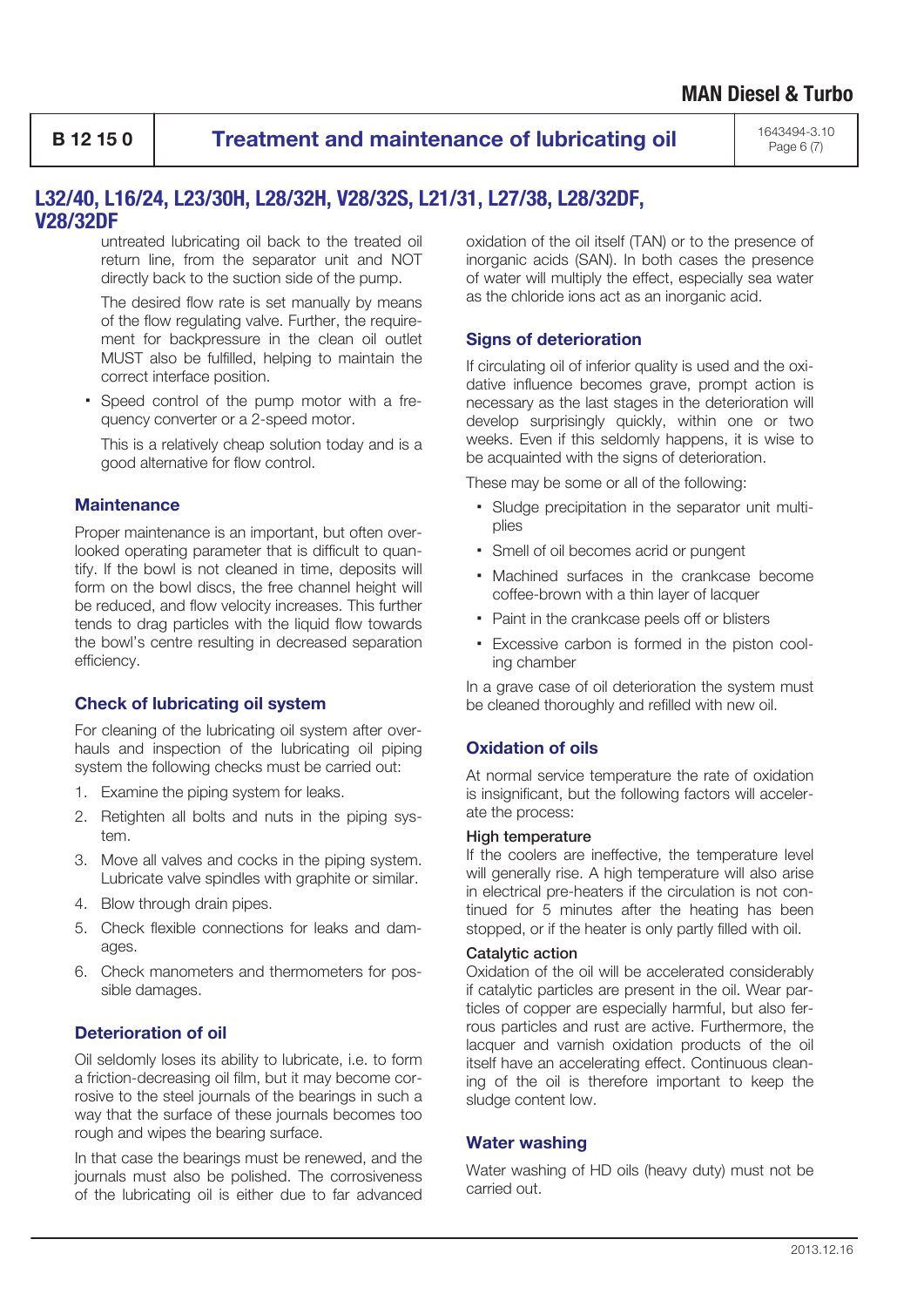**B 12 15 0 Treatment and maintenance of lubricating oil** 1643494-3.10

Page 6 (7)

## **L32/40, L16/24, L23/30H, L28/32H, V28/32S, L21/31, L27/38, L28/32DF, V28/32DF**

untreated lubricating oil back to the treated oil return line, from the separator unit and NOT directly back to the suction side of the pump.

The desired flow rate is set manually by means of the flow regulating valve. Further, the requirement for backpressure in the clean oil outlet MUST also be fulfilled, helping to maintain the correct interface position.

▪ Speed control of the pump motor with a frequency converter or a 2-speed motor.

This is a relatively cheap solution today and is a good alternative for flow control.

### **Maintenance**

Proper maintenance is an important, but often overlooked operating parameter that is difficult to quantify. If the bowl is not cleaned in time, deposits will form on the bowl discs, the free channel height will be reduced, and flow velocity increases. This further tends to drag particles with the liquid flow towards the bowl's centre resulting in decreased separation efficiency.

### **Check of lubricating oil system**

For cleaning of the lubricating oil system after overhauls and inspection of the lubricating oil piping system the following checks must be carried out:

- 1. Examine the piping system for leaks.
- 2. Retighten all bolts and nuts in the piping system.
- 3. Move all valves and cocks in the piping system. Lubricate valve spindles with graphite or similar.
- 4. Blow through drain pipes.
- 5. Check flexible connections for leaks and damages.
- 6. Check manometers and thermometers for possible damages.

## **Deterioration of oil**

Oil seldomly loses its ability to lubricate, i.e. to form a friction-decreasing oil film, but it may become corrosive to the steel journals of the bearings in such a way that the surface of these journals becomes too rough and wipes the bearing surface.

In that case the bearings must be renewed, and the journals must also be polished. The corrosiveness of the lubricating oil is either due to far advanced oxidation of the oil itself (TAN) or to the presence of inorganic acids (SAN). In both cases the presence of water will multiply the effect, especially sea water as the chloride ions act as an inorganic acid.

## **Signs of deterioration**

If circulating oil of inferior quality is used and the oxidative influence becomes grave, prompt action is necessary as the last stages in the deterioration will develop surprisingly quickly, within one or two weeks. Even if this seldomly happens, it is wise to be acquainted with the signs of deterioration.

These may be some or all of the following:

- Sludge precipitation in the separator unit multiplies
- Smell of oil becomes acrid or pungent
- Machined surfaces in the crankcase become coffee-brown with a thin layer of lacquer
- Paint in the crankcase peels off or blisters
- Excessive carbon is formed in the piston cooling chamber

In a grave case of oil deterioration the system must be cleaned thoroughly and refilled with new oil.

## **Oxidation of oils**

At normal service temperature the rate of oxidation is insignificant, but the following factors will accelerate the process:

### High temperature

If the coolers are ineffective, the temperature level will generally rise. A high temperature will also arise in electrical pre-heaters if the circulation is not continued for 5 minutes after the heating has been stopped, or if the heater is only partly filled with oil.

### Catalytic action

Oxidation of the oil will be accelerated considerably if catalytic particles are present in the oil. Wear particles of copper are especially harmful, but also ferrous particles and rust are active. Furthermore, the lacquer and varnish oxidation products of the oil itself have an accelerating effect. Continuous cleaning of the oil is therefore important to keep the sludge content low.

### **Water washing**

Water washing of HD oils (heavy duty) must not be carried out.